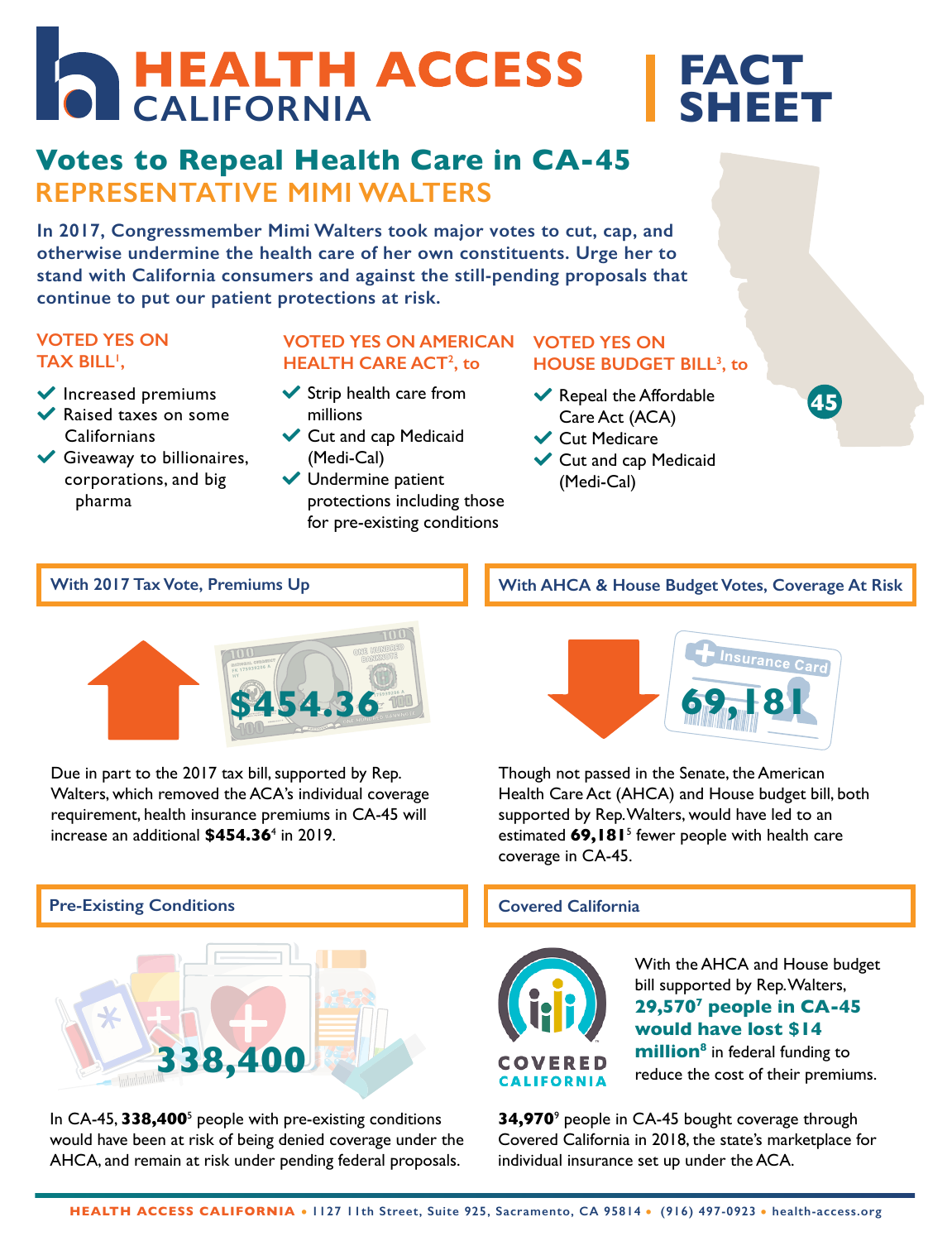# **FACT SHEET CALIFORNIA**

# **REPRESENTATIVE MIMI WALTERS Votes to Repeal Health Care in CA-45**

**In 2017, Congressmember Mimi Walters took major votes to cut, cap, and otherwise undermine the health care of her own constituents. Urge her to stand with California consumers and against the still-pending proposals that continue to put our patient protections at risk.**  *d*<br> *bi***o**<br> **hat** 

### **VOTED YES ON TAX BILL1 ,**

- $\blacktriangleright$  Increased premiums
- $\blacktriangleright$  Raised taxes on some Californians
- $\blacktriangleright$  Giveaway to billionaires, corporations, and big pharma

#### **VOTED YES ON AMERICAN HEALTH CARE ACT2 , to**

- $\blacktriangleright$  Strip health care from millions
- Cut and cap Medicaid (Medi-Cal)
- Undermine patient protections including those for pre-existing conditions

### **VOTED YES ON HOUSE BUDGET BILL3 , to**

- $\blacktriangleright$  Repeal the Affordable Care Act (ACA)
- Cut Medicare
- Cut and cap Medicaid (Medi-Cal)

# **With 2017 Tax Vote, Premiums Up**



Due in part to the 2017 tax bill, supported by Rep. Walters, which removed the ACA's individual coverage requirement, health insurance premiums in CA-45 will increase an additional **\$454.36**<sup>4</sup> in 2019.

# **Pre-Existing Conditions**



In CA-45, 338,400<sup>5</sup> people with pre-existing conditions would have been at risk of being denied coverage under the AHCA, and remain at risk under pending federal proposals.

# **With AHCA & House Budget Votes, Coverage At Risk**

**45**



Though not passed in the Senate, the American Health Care Act (AHCA) and House budget bill, both supported by Rep. Walters, would have led to an estimated **69,181**<sup>5</sup> fewer people with health care coverage in CA-45.

### **Covered California**



With the AHCA and House budget bill supported by Rep. Walters, **29,5707 people in CA-45 would have lost \$14 million<sup>8</sup>** in federal funding to reduce the cost of their premiums.

**34,970**<sup>9</sup> people in CA-45 bought coverage through Covered California in 2018, the state's marketplace for individual insurance set up under the ACA.